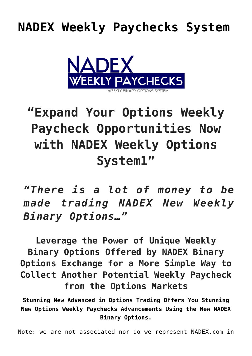## **[NADEX Weekly Paychecks System](https://optionsweeklypaychecks.com/nadex-weekly-paychecks-system/)**



## **"Expand Your Options Weekly Paycheck Opportunities Now with NADEX Weekly Options System1"**

*"There is a lot of money to be made trading NADEX New Weekly Binary Options…"*

**Leverage the Power of Unique Weekly Binary Options Offered by NADEX Binary Options Exchange for a More Simple Way to Collect Another Potential Weekly Paycheck from the Options Markets**

**Stunning New Advanced in Options Trading Offers You Stunning New Options Weekly Paychecks Advancements Using the New NADEX Binary Options.**

Note: we are not associated nor do we represent NADEX.com in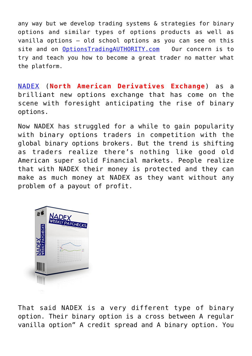any way but we develop trading systems & strategies for binary options and similar types of options products as well as vanilla options – old school options as you can see on this site and on [OptionsTradingAUTHORITY.com](http://OptionsTradingAUTHORITY.com) Our concern is to try and teach you how to become a great trader no matter what the platform.

[NADEX](http://en.wikipedia.org/wiki/Nadex) (**North American Derivatives Exchange**) as a brilliant new options exchange that has come on the scene with foresight anticipating the rise of binary options.

Now NADEX has struggled for a while to gain popularity with binary options traders in competition with the global binary options brokers. But the trend is shifting as traders realize there's nothing like good old American super solid Financial markets. People realize that with NADEX their money is protected and they can make as much money at NADEX as they want without any problem of a payout of profit.



That said NADEX is a very different type of binary option. Their binary option is a cross between A regular vanilla option" A credit spread and A binary option. You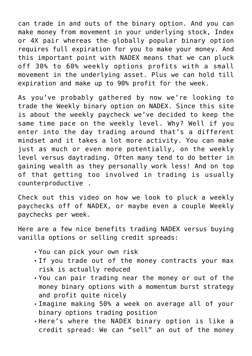can trade in and outs of the binary option. And you can make money from movement in your underlying stock, Index or 4X pair whereas the globally popular binary option requires full expiration for you to make your money. And this important point with NADEX means that we can pluck off 30% to 60% weekly options profits with a small movement in the underlying asset. Plus we can hold till expiration and make up to 90% profit for the week.

As you've probably gathered by now we're looking to trade the Weekly binary option on NADEX. Since this site is about the weekly paycheck we've decided to keep the same time pace on the weekly level. Why? Well if you enter into the day trading around that's a different mindset and it takes a lot more activity. You can make just as much or even more potentially, on the weekly level versus daytrading. Often many tend to do better in gaining wealth as they personally work less! And on top of that getting too involved in trading is usually counterproductive .

Check out this video on how we look to pluck a weekly paychecks off of NADEX, or maybe even a couple Weekly paychecks per week.

Here are a few nice benefits trading NADEX versus buying vanilla options or selling credit spreads:

- You can pick your own risk
- If you trade out of the money contracts your max risk is actually reduced
- You can pair trading near the money or out of the money binary options with a momentum burst strategy and profit quite nicely
- Imagine making 50% a week on average all of your binary options trading position
- Here's where the NADEX binary option is like a credit spread: We can "sell" an out of the money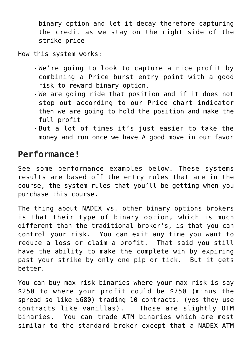binary option and let it decay therefore capturing the credit as we stay on the right side of the strike price

How this system works:

- We're going to look to capture a nice profit by combining a Price burst entry point with a good risk to reward binary option.
- We are going ride that position and if it does not stop out according to our Price chart indicator then we are going to hold the position and make the full profit
- But a lot of times it's just easier to take the money and run once we have A good move in our favor

## **Performance!**

See some performance examples below. These systems results are based off the entry rules that are in the course, the system rules that you'll be getting when you purchase this course.

The thing about NADEX vs. other binary options brokers is that their type of binary option, which is much different than the traditional broker's, is that you can control your risk. You can exit any time you want to reduce a loss or claim a profit. That said you still have the ability to make the complete win by expiring past your strike by only one pip or tick. But it gets better.

You can buy max risk binaries where your max risk is say \$250 to where your profit could be \$750 (minus the spread so like \$680) trading 10 contracts. (yes they use contracts like vanillas). Those are slightly OTM binaries. You can trade ATM binaries which are most similar to the standard broker except that a NADEX ATM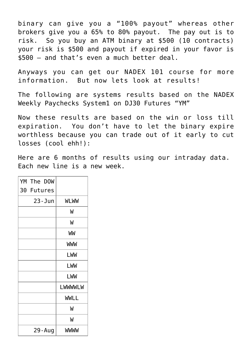binary can give you a "100% payout" whereas other brokers give you a 65% to 80% payout. The pay out is to risk. So you buy an ATM binary at \$500 (10 contracts) your risk is \$500 and payout if expired in your favor is \$500 – and that's even a much better deal.

Anyways you can get our NADEX 101 course for more information. But now lets look at results!

The following are systems results based on the NADEX Weekly Paychecks System1 on DJ30 Futures "YM"

Now these results are based on the win or loss till expiration. You don't have to let the binary expire worthless because you can trade out of it early to cut losses (cool ehh!):

Here are 6 months of results using our intraday data. Each new line is a new week.

| YM The DOW |             |
|------------|-------------|
| 30 Futures |             |
| $23 - Jun$ | <b>WLWW</b> |
|            | W           |
|            | W           |
|            | WW          |
|            | <b>WWW</b>  |
|            | LWW         |
|            | LWW         |
|            | LWW         |
|            | LWWWWLW     |
|            | <b>WWLL</b> |
|            | W           |
|            | W           |
| 29 - Aug   | WWWW        |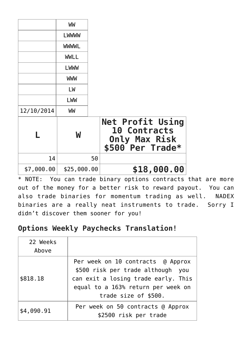|            | WW<br>LWWWW<br><b>WWWWL</b><br><b>WWLL</b><br>LWWW |    |                                                                                     |
|------------|----------------------------------------------------|----|-------------------------------------------------------------------------------------|
|            | <b>WWW</b>                                         |    |                                                                                     |
|            | LW<br>LWW                                          |    |                                                                                     |
| 12/10/2014 | WW                                                 |    |                                                                                     |
|            | W                                                  |    | <b>Net Profit Using</b><br>10 Contracts<br><b>Only Max Risk</b><br>\$500 Per Trade* |
| 14         |                                                    | 50 |                                                                                     |
| \$7,000.00 | \$25,000.00                                        |    | \$18,000.00                                                                         |

\* NOTE: You can trade binary options contracts that are more out of the money for a better risk to reward payout. You can also trade binaries for momentum trading as well. NADEX binaries are a really neat instruments to trade. Sorry I didn't discover them sooner for you!

## **Options Weekly Paychecks Translation!**

| 22 Weeks<br>Above |                                                                                                                                                                             |
|-------------------|-----------------------------------------------------------------------------------------------------------------------------------------------------------------------------|
| \$818.18          | Per week on 10 contracts @ Approx<br>\$500 risk per trade although you<br>can exit a losing trade early. This<br>equal to a 163% return per week on<br>trade size of \$500. |
| \$4,090.91        | Per week on 50 contracts @ Approx<br>\$2500 risk per trade                                                                                                                  |